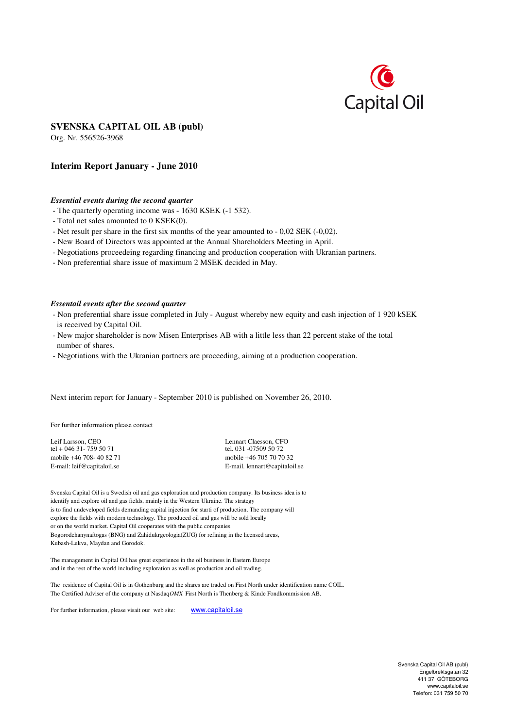

# **SVENSKA CAPITAL OIL AB (publ)**

Org. Nr. 556526-3968

# **Interim Report January - June 2010**

### *Essential events during the second quarter*

- The quarterly operating income was 1630 KSEK (-1 532).
- Total net sales amounted to 0 KSEK(0).
- Net result per share in the first six months of the year amounted to 0,02 SEK (-0,02).
- New Board of Directors was appointed at the Annual Shareholders Meeting in April.
- Negotiations proceedeing regarding financing and production cooperation with Ukranian partners.
- Non preferential share issue of maximum 2 MSEK decided in May.

### *Essentail events after the second quarter*

- Non preferential share issue completed in July August whereby new equity and cash injection of 1 920 kSEK is received by Capital Oil.
- New major shareholder is now Misen Enterprises AB with a little less than 22 percent stake of the total number of shares.
- Negotiations with the Ukranian partners are proceeding, aiming at a production cooperation.

Next interim report for January - September 2010 is published on November 26, 2010.

For further information please contact

Leif Larsson, CEO Lennart Claesson, CFO Leif Larsson, CFO Leif 1 + 046 31 - 759 50 71 tel + 046 31 - 759 50 71 mobile +46 708- 40 82 71 mobile +46 705 70 70 32

E-mail: leif@capitaloil.se E-mail. lennart@capitaloil.se

Svenska Capital Oil is a Swedish oil and gas exploration and production company. Its business idea is to identify and explore oil and gas fields, mainly in the Western Ukraine. The strategy is to find undeveloped fields demanding capital injection for starti of production. The company will explore the fields with modern technology. The produced oil and gas will be sold locally or on the world market. Capital Oil cooperates with the public companies Bogorodchanynaftogas (BNG) and Zahidukrgeologia(ZUG) for refining in the licensed areas, Kubash-Lukva, Maydan and Gorodok.

The management in Capital Oil has great experience in the oil business in Eastern Europe and in the rest of the world including exploration as well as production and oil trading.

The residence of Capital Oil is in Gothenburg and the shares are traded on First North under identification name COIL. The Certified Adviser of the company at Nasdaq*OMX* First North is Thenberg & Kinde Fondkommission AB.

For further information, please visait our web site: www.capitaloil.se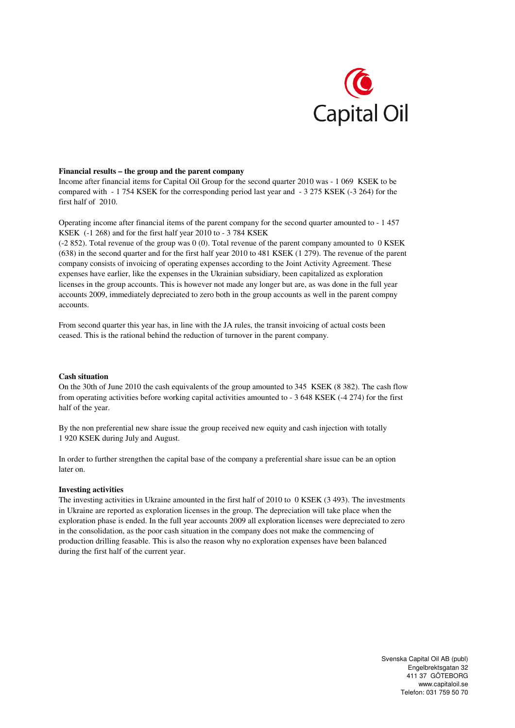

### **Financial results – the group and the parent company**

Income after financial items for Capital Oil Group for the second quarter 2010 was - 1 069 KSEK to be compared with - 1 754 KSEK for the corresponding period last year and - 3 275 KSEK (-3 264) for the first half of 2010.

Operating income after financial items of the parent company for the second quarter amounted to - 1 457 KSEK (-1 268) and for the first half year 2010 to - 3 784 KSEK

(-2 852). Total revenue of the group was 0 (0). Total revenue of the parent company amounted to 0 KSEK (638) in the second quarter and for the first half year 2010 to 481 KSEK (1 279). The revenue of the parent company consists of invoicing of operating expenses according to the Joint Activity Agreement. These expenses have earlier, like the expenses in the Ukrainian subsidiary, been capitalized as exploration licenses in the group accounts. This is however not made any longer but are, as was done in the full year accounts 2009, immediately depreciated to zero both in the group accounts as well in the parent compny accounts.

From second quarter this year has, in line with the JA rules, the transit invoicing of actual costs been ceased. This is the rational behind the reduction of turnover in the parent company.

## **Cash situation**

On the 30th of June 2010 the cash equivalents of the group amounted to 345 KSEK (8 382). The cash flow from operating activities before working capital activities amounted to - 3 648 KSEK (-4 274) for the first half of the year.

By the non preferential new share issue the group received new equity and cash injection with totally 1 920 KSEK during July and August.

In order to further strengthen the capital base of the company a preferential share issue can be an option later on.

### **Investing activities**

The investing activities in Ukraine amounted in the first half of 2010 to 0 KSEK (3 493). The investments in Ukraine are reported as exploration licenses in the group. The depreciation will take place when the exploration phase is ended. In the full year accounts 2009 all exploration licenses were depreciated to zero in the consolidation, as the poor cash situation in the company does not make the commencing of production drilling feasable. This is also the reason why no exploration expenses have been balanced during the first half of the current year.

> Svenska Capital Oil AB (publ) Engelbrektsgatan 32 411 37 GÖTEBORG www.capitaloil.se Telefon: 031 759 50 70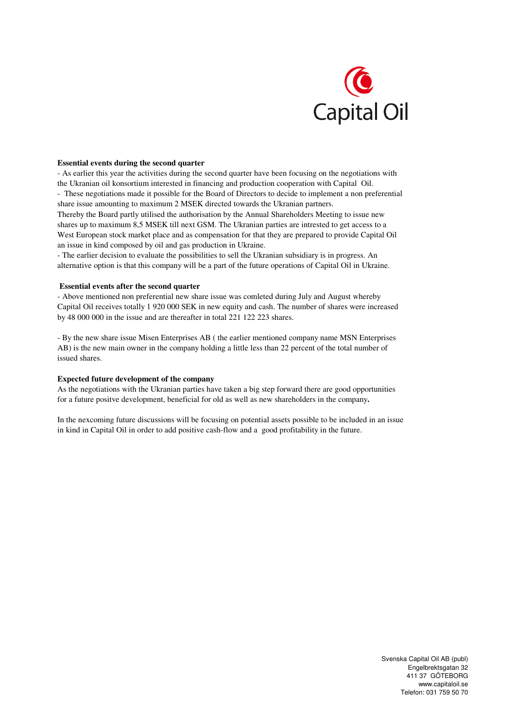

### **Essential events during the second quarter**

- As earlier this year the activities during the second quarter have been focusing on the negotiations with the Ukranian oil konsortium interested in financing and production cooperation with Capital Oil. - These negotiations made it possible for the Board of Directors to decide to implement a non preferential share issue amounting to maximum 2 MSEK directed towards the Ukranian partners.

Thereby the Board partly utilised the authorisation by the Annual Shareholders Meeting to issue new shares up to maximum 8,5 MSEK till next GSM. The Ukranian parties are intrested to get access to a West European stock market place and as compensation for that they are prepared to provide Capital Oil an issue in kind composed by oil and gas production in Ukraine.

- The earlier decision to evaluate the possibilities to sell the Ukranian subsidiary is in progress. An alternative option is that this company will be a part of the future operations of Capital Oil in Ukraine.

#### **Essential events after the second quarter**

- Above mentioned non preferential new share issue was comleted during July and August whereby Capital Oil receives totally 1 920 000 SEK in new equity and cash. The number of shares were increased by 48 000 000 in the issue and are thereafter in total 221 122 223 shares.

- By the new share issue Misen Enterprises AB ( the earlier mentioned company name MSN Enterprises AB) is the new main owner in the company holding a little less than 22 percent of the total number of issued shares.

## **Expected future development of the company**

As the negotiations with the Ukranian parties have taken a big step forward there are good opportunities for a future positve development, beneficial for old as well as new shareholders in the company**.**

In the nexcoming future discussions will be focusing on potential assets possible to be included in an issue in kind in Capital Oil in order to add positive cash-flow and a good profitability in the future.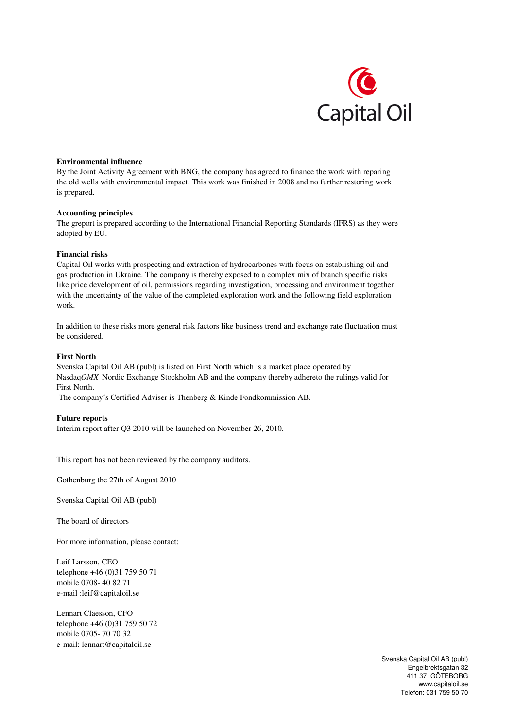

## **Environmental influence**

By the Joint Activity Agreement with BNG, the company has agreed to finance the work with reparing the old wells with environmental impact. This work was finished in 2008 and no further restoring work is prepared.

## **Accounting principles**

The greport is prepared according to the International Financial Reporting Standards (IFRS) as they were adopted by EU.

## **Financial risks**

Capital Oil works with prospecting and extraction of hydrocarbones with focus on establishing oil and gas production in Ukraine. The company is thereby exposed to a complex mix of branch specific risks like price development of oil, permissions regarding investigation, processing and environment together with the uncertainty of the value of the completed exploration work and the following field exploration work.

In addition to these risks more general risk factors like business trend and exchange rate fluctuation must be considered.

## **First North**

Svenska Capital Oil AB (publ) is listed on First North which is a market place operated by Nasdaq*OMX* Nordic Exchange Stockholm AB and the company thereby adhereto the rulings valid for First North.

The company´s Certified Adviser is Thenberg & Kinde Fondkommission AB.

## **Future reports**

Interim report after Q3 2010 will be launched on November 26, 2010.

This report has not been reviewed by the company auditors.

Gothenburg the 27th of August 2010

Svenska Capital Oil AB (publ)

The board of directors

For more information, please contact:

Leif Larsson, CEO telephone +46 (0)31 759 50 71 mobile 0708- 40 82 71 e-mail :leif@capitaloil.se

Lennart Claesson, CFO telephone +46 (0)31 759 50 72 mobile 0705- 70 70 32 e-mail: lennart@capitaloil.se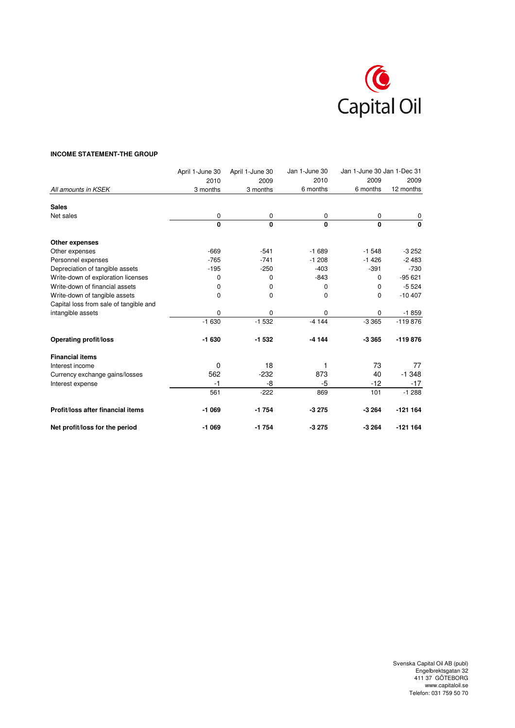

## **INCOME STATEMENT-THE GROUP**

|                                        | April 1-June 30 | April 1-June 30 | Jan 1-June 30 | Jan 1-June 30 Jan 1-Dec 31 |              |
|----------------------------------------|-----------------|-----------------|---------------|----------------------------|--------------|
|                                        | 2010            | 2009            | 2010          | 2009                       | 2009         |
| All amounts in KSEK                    | 3 months        | 3 months        | 6 months      | 6 months                   | 12 months    |
| <b>Sales</b>                           |                 |                 |               |                            |              |
| Net sales                              | 0               | 0               | 0             | 0                          | 0            |
|                                        | $\mathbf{0}$    | $\mathbf 0$     | $\mathbf{0}$  | $\mathbf{0}$               | $\mathbf{0}$ |
| Other expenses                         |                 |                 |               |                            |              |
| Other expenses                         | $-669$          | $-541$          | $-1689$       | $-1548$                    | $-3252$      |
| Personnel expenses                     | $-765$          | $-741$          | $-1208$       | $-1426$                    | $-2483$      |
| Depreciation of tangible assets        | $-195$          | $-250$          | $-403$        | $-391$                     | $-730$       |
| Write-down of exploration licenses     | 0               | $\mathbf 0$     | $-843$        | 0                          | $-95621$     |
| Write-down of financial assets         | 0               | 0               | 0             | 0                          | $-5524$      |
| Write-down of tangible assets          | 0               | 0               | 0             | 0                          | $-10407$     |
| Capital loss from sale of tangible and |                 |                 |               |                            |              |
| intangible assets                      | 0               | 0               | 0             | 0                          | $-1859$      |
|                                        | $-1630$         | $-1532$         | $-4144$       | $-3365$                    | $-119876$    |
| <b>Operating profit/loss</b>           | $-1630$         | $-1532$         | $-4144$       | $-3365$                    | $-119876$    |
| <b>Financial items</b>                 |                 |                 |               |                            |              |
| Interest income                        | 0               | 18              | 1             | 73                         | 77           |
| Currency exchange gains/losses         | 562             | $-232$          | 873           | 40                         | $-1.348$     |
| Interest expense                       | $-1$            | -8              | -5            | $-12$                      | $-17$        |
|                                        | 561             | $-222$          | 869           | 101                        | $-1288$      |
| Profit/loss after financial items      | -1 069          | $-1754$         | $-3275$       | $-3264$                    | $-121164$    |
| Net profit/loss for the period         | -1 069          | $-1754$         | $-3275$       | $-3264$                    | $-121164$    |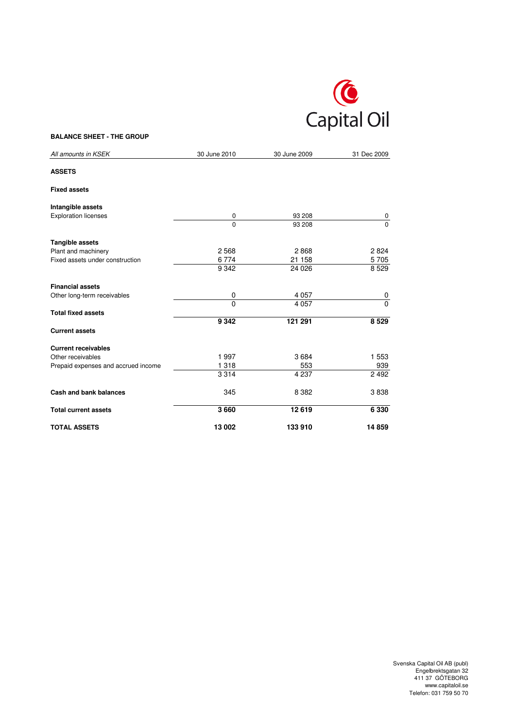

## **BALANCE SHEET - THE GROUP**

| All amounts in KSEK                 | 30 June 2010 | 30 June 2009 | 31 Dec 2009 |
|-------------------------------------|--------------|--------------|-------------|
| <b>ASSETS</b>                       |              |              |             |
| <b>Fixed assets</b>                 |              |              |             |
| Intangible assets                   |              |              |             |
| <b>Exploration licenses</b>         | 0            | 93 208       | 0           |
|                                     | $\mathbf 0$  | 93 208       | $\Omega$    |
| Tangible assets                     |              |              |             |
| Plant and machinery                 | 2568         | 2868         | 2824        |
| Fixed assets under construction     | 6774         | 21 158       | 5705        |
|                                     | 9 3 4 2      | 24 0 26      | 8529        |
| <b>Financial assets</b>             |              |              |             |
| Other long-term receivables         | 0            | 4 0 5 7      | 0           |
|                                     | $\Omega$     | 4 0 5 7      | $\Omega$    |
| <b>Total fixed assets</b>           |              |              |             |
|                                     | 9 3 4 2      | 121 291      | 8 5 29      |
| <b>Current assets</b>               |              |              |             |
| <b>Current receivables</b>          |              |              |             |
| Other receivables                   | 1997         | 3684         | 1 553       |
| Prepaid expenses and accrued income | 1 3 1 8      | 553          | 939         |
|                                     | 3 3 1 4      | 4 2 3 7      | 2 4 9 2     |
| <b>Cash and bank balances</b>       | 345          | 8 3 8 2      | 3838        |
| <b>Total current assets</b>         | 3660         | 12619        | 6 3 3 0     |
| <b>TOTAL ASSETS</b>                 | 13 002       | 133 910      | 14859       |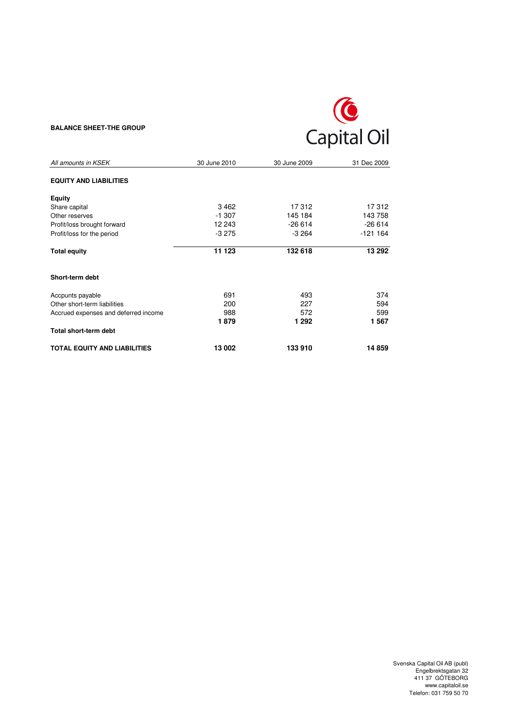## **BALANCE SHEET-THE GROUP**



| All amounts in KSEK                  | 30 June 2010 | 30 June 2009 | 31 Dec 2009 |
|--------------------------------------|--------------|--------------|-------------|
| <b>EQUITY AND LIABILITIES</b>        |              |              |             |
| Equity                               |              |              |             |
| Share capital                        | 3462         | 17312        | 17312       |
| Other reserves                       | $-1.307$     | 145 184      | 143 758     |
| Profit/loss brought forward          | 12 243       | $-26614$     | $-26614$    |
| Profit/loss for the period           | $-3275$      | $-3264$      | $-121164$   |
| <b>Total equity</b>                  | 11 123       | 132 618      | 13 29 2     |
| Short-term debt                      |              |              |             |
| Accpunts payable                     | 691          | 493          | 374         |
| Other short-term liabilities         | 200          | 227          | 594         |
| Accrued expenses and deferred income | 988          | 572          | 599         |
|                                      | 1879         | 1 292        | 1567        |
| Total short-term debt                |              |              |             |
| <b>TOTAL EQUITY AND LIABILITIES</b>  | 13 002       | 133910       | 14 859      |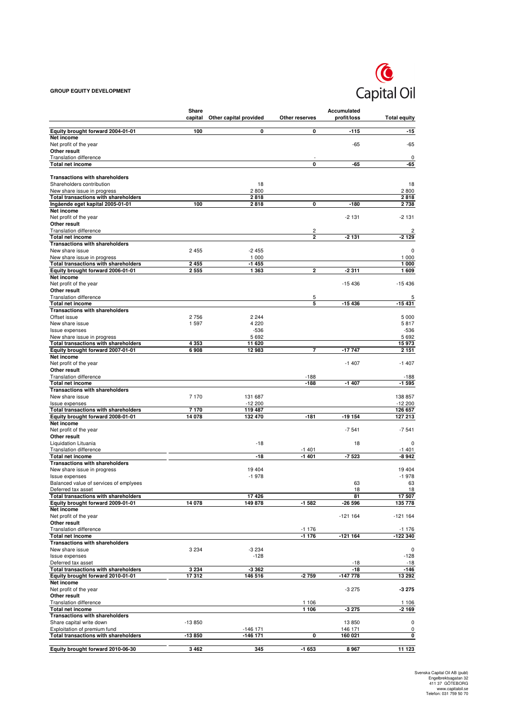## **GROUP EQUITY DEVELOPMENT**



|                                                                      | Share<br>capital | Other capital provided | Other reserves     | Accumulated<br>profit/loss | <b>Total equity</b> |
|----------------------------------------------------------------------|------------------|------------------------|--------------------|----------------------------|---------------------|
| Equity brought forward 2004-01-01                                    | 100              | 0                      | 0                  | $-115$                     | $-15$               |
| Net income                                                           |                  |                        |                    |                            |                     |
| Net profit of the year<br>Other result                               |                  |                        |                    | $-65$                      | $-65$               |
| <b>Translation difference</b>                                        |                  |                        |                    |                            | 0                   |
| Total net income                                                     |                  |                        | 0                  | -65                        | -65                 |
| <b>Transactions with shareholders</b>                                |                  |                        |                    |                            |                     |
| Shareholders contribution                                            |                  | 18                     |                    |                            | 18                  |
| New share issue in progress<br>Total transactions with shareholders  |                  | 2800<br>2818           |                    |                            | 2800<br>2818        |
| Ingående eget kapital 2005-01-01                                     | 100              | 2818                   | 0                  | $-180$                     | 2738                |
| Net income<br>Net profit of the year                                 |                  |                        |                    | $-2131$                    | $-2131$             |
| Other result                                                         |                  |                        |                    |                            |                     |
| <b>Translation difference</b><br>Total net income                    |                  |                        | 2<br>2             | -2 131                     | 2<br>-2 129         |
| <b>Transactions with shareholders</b>                                |                  |                        |                    |                            |                     |
| New share issue                                                      | 2 4 5 5          | $-2455$                |                    |                            | 0                   |
| New share issue in progress<br>Total transactions with shareholders  | 2 4 5 5          | 1 0 0 0<br>$-1455$     |                    |                            | 1 0 0 0<br>1 000    |
| Equity brought forward 2006-01-01                                    | 2555             | 1 3 6 3                | 2                  | -2311                      | 1609                |
| Net income                                                           |                  |                        |                    | $-15436$                   | $-15436$            |
| Net profit of the year<br>Other result                               |                  |                        |                    |                            |                     |
| <b>Translation difference</b>                                        |                  |                        | 5                  |                            | 5                   |
| <b>Total net income</b><br><b>Transactions with shareholders</b>     |                  |                        | 5                  | $-15436$                   | -15 431             |
| Offset issue                                                         | 2756             | 2 2 4 4                |                    |                            | 5 0 0 0             |
| New share issue<br><b>Issue expenses</b>                             | 1597             | 4 2 2 0<br>$-536$      |                    |                            | 5817                |
| New share issue in progress                                          |                  | 5692                   |                    |                            | $-536$<br>5692      |
| Total transactions with shareholders                                 | 4 3 5 3          | 11 620                 |                    |                            | 15973               |
| Equity brought forward 2007-01-01<br>Net income                      | 6908             | 12 983                 | 7                  | $-17747$                   | 2 1 5 1             |
| Net profit of the year                                               |                  |                        |                    | $-1407$                    | $-1407$             |
| Other result<br><b>Translation difference</b>                        |                  |                        | $-188$             |                            |                     |
| Total net income                                                     |                  |                        | $-188$             | $-1407$                    | -188<br>$-1595$     |
| <b>Transactions with shareholders</b>                                |                  |                        |                    |                            |                     |
| New share issue<br>Issue expenses                                    | 7 1 7 0          | 131 687<br>$-12200$    |                    |                            | 138 857<br>$-12200$ |
| Total transactions with shareholders                                 | 7170             | 119 487                |                    |                            | 126 657             |
| Equity brought forward 2008-01-01<br>Net income                      | 14 078           | 132 470                | $-181$             | $-19154$                   | 127 213             |
| Net profit of the year                                               |                  |                        |                    | $-7541$                    | $-7541$             |
| Other result                                                         |                  |                        |                    |                            |                     |
| Liquidation Lituania<br><b>Translation difference</b>                |                  | $-18$                  | $-1401$            | 18                         | 0<br>-1401          |
| Total net income                                                     |                  | $-18$                  | -1 401             | -7 523                     | -8 942              |
| <b>Transactions with shareholders</b><br>New share issue in progress |                  | 19 404                 |                    |                            | 19 4 04             |
| <b>Issue expenses</b>                                                |                  | $-1978$                |                    |                            | $-1978$             |
| Balanced value of services of emplyees                               |                  |                        |                    | 63                         | 63                  |
| Deferred tax asset<br>Total transactions with shareholders           |                  | 17426                  |                    | 18<br>81                   | 18<br>17 507        |
| Equity brought forward 2009-01-01                                    | 14 078           | 149878                 | -1 582             | -26 596                    | 135 778             |
| Net income<br>Net profit of the year                                 |                  |                        |                    | $-121164$                  | $-121164$           |
| Other result                                                         |                  |                        |                    |                            |                     |
| <b>Translation difference</b>                                        |                  |                        | -1 176             |                            | $-1176$             |
| Total net income<br><b>Transactions with shareholders</b>            |                  |                        | $-1176$            | $-121164$                  | -122 340            |
| New share issue                                                      | 3 2 3 4          | $-3234$                |                    |                            | $\mathbf 0$         |
| Issue expenses<br>Deferred tax asset                                 |                  | $-128$                 |                    | $-18$                      | $-128$<br>$-18$     |
| Total transactions with shareholders                                 | 3 2 3 4          | -3 362                 |                    | $-18$                      | $-146$              |
| Equity brought forward 2010-01-01<br>Net income                      | 17312            | 146 516                | $-2759$            | $-147778$                  | 13 29 2             |
| Net profit of the year                                               |                  |                        |                    | $-3275$                    | -3 275              |
| Other result                                                         |                  |                        |                    |                            |                     |
| <b>Translation difference</b><br>Total net income                    |                  |                        | 1 1 0 6<br>1 1 0 6 | -3 275                     | 1 1 0 6<br>-2 169   |
| <b>Transactions with shareholders</b>                                |                  |                        |                    |                            |                     |
| Share capital write down                                             | $-13850$         |                        |                    | 13850                      | $\pmb{0}$           |
| Exploitation of premium fund<br>Total transactions with shareholders | -13850           | -146 171<br>-146 171   | 0                  | 146 171<br>160 021         | 0<br>0              |
|                                                                      |                  |                        |                    |                            |                     |
| Equity brought forward 2010-06-30                                    | 3462             | 345                    | -1 653             | 8967                       | 11 123              |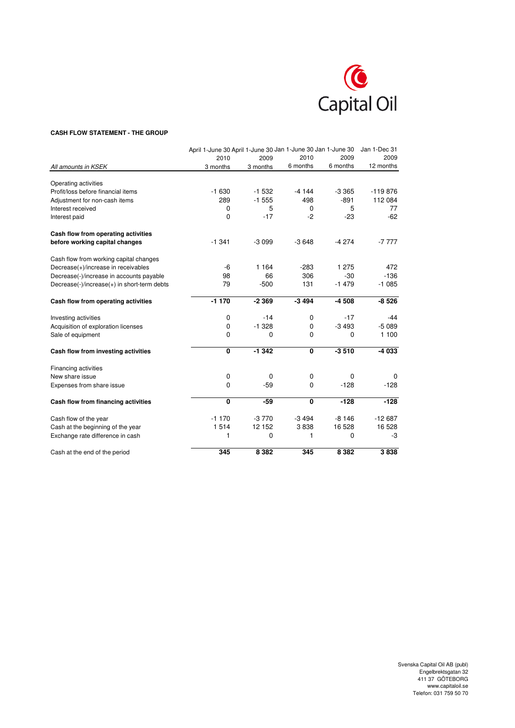

#### **CASH FLOW STATEMENT - THE GROUP**

|                                             | April 1-June 30 April 1-June 30 Jan 1-June 30 Jan 1-June 30 |             |             |          | Jan 1-Dec 31 |
|---------------------------------------------|-------------------------------------------------------------|-------------|-------------|----------|--------------|
|                                             | 2010                                                        | 2009        | 2010        | 2009     | 2009         |
| All amounts in KSEK                         | 3 months                                                    | 3 months    | 6 months    | 6 months | 12 months    |
| Operating activities                        |                                                             |             |             |          |              |
| Profit/loss before financial items          | $-1630$                                                     | $-1532$     | $-4144$     | $-3.365$ | $-119876$    |
| Adjustment for non-cash items               | 289                                                         | $-1555$     | 498         | $-891$   | 112 084      |
| Interest received                           | 0                                                           | 5           | $\mathbf 0$ | 5        | 77           |
| Interest paid                               | 0                                                           | $-17$       | $-2$        | $-23$    | $-62$        |
| Cash flow from operating activities         |                                                             |             |             |          |              |
| before working capital changes              | $-1341$                                                     | $-3099$     | $-3648$     | $-4274$  | $-7777$      |
| Cash flow from working capital changes      |                                                             |             |             |          |              |
| Decrease(+)/increase in receivables         | -6                                                          | 1 1 6 4     | $-283$      | 1 2 7 5  | 472          |
| Decrease(-)/increase in accounts payable    | 98                                                          | 66          | 306         | $-30$    | $-136$       |
| Decrease(-)/increase(+) in short-term debts | 79                                                          | $-500$      | 131         | $-1479$  | $-1085$      |
| Cash flow from operating activities         | $-1170$                                                     | $-2369$     | $-3494$     | $-4508$  | $-8526$      |
| Investing activities                        | 0                                                           | $-14$       | $\mathbf 0$ | $-17$    | -44          |
| Acquisition of exploration licenses         | 0                                                           | $-1.328$    | $\mathbf 0$ | $-3493$  | $-5089$      |
| Sale of equipment                           | 0                                                           | 0           | $\mathbf 0$ | 0        | 1 100        |
| Cash flow from investing activities         | 0                                                           | $-1342$     | $\mathbf 0$ | $-3510$  | -4 033       |
| Financing activities                        |                                                             |             |             |          |              |
| New share issue                             | 0                                                           | $\mathbf 0$ | 0           | 0        | $\Omega$     |
| Expenses from share issue                   | 0                                                           | $-59$       | $\mathbf 0$ | $-128$   | $-128$       |
| Cash flow from financing activities         | 0                                                           | $-59$       | 0           | $-128$   | $-128$       |
| Cash flow of the year                       | $-1170$                                                     | $-3770$     | $-3494$     | $-8146$  | $-12687$     |
| Cash at the beginning of the year           | 1514                                                        | 12 152      | 3838        | 16 5 28  | 16 5 28      |
| Exchange rate difference in cash            | 1                                                           | 0           | 1           | 0        | -3           |
| Cash at the end of the period               | 345                                                         | 8 3 8 2     | 345         | 8 3 8 2  | 3838         |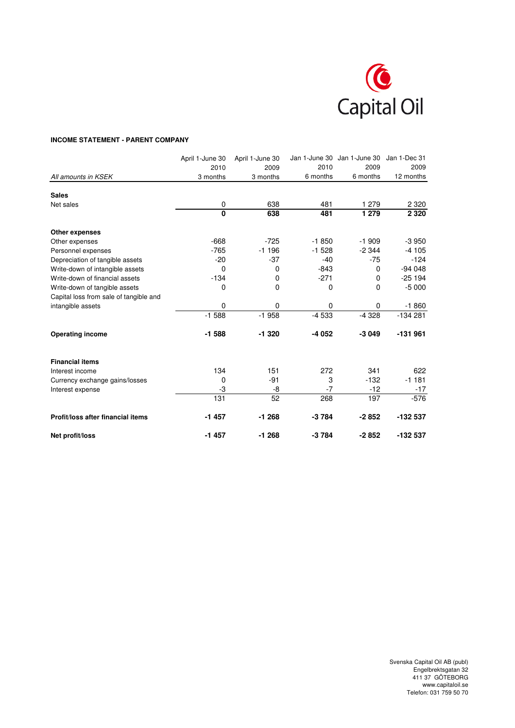

## **INCOME STATEMENT - PARENT COMPANY**

|                                        | April 1-June 30 | April 1-June 30 |          | Jan 1-June 30 Jan 1-June 30 | Jan 1-Dec 31 |
|----------------------------------------|-----------------|-----------------|----------|-----------------------------|--------------|
|                                        | 2010            | 2009            | 2010     | 2009                        | 2009         |
| All amounts in KSEK                    | 3 months        | 3 months        | 6 months | 6 months                    | 12 months    |
| <b>Sales</b>                           |                 |                 |          |                             |              |
| Net sales                              | 0               | 638             | 481      | 1 279                       | 2 3 2 0      |
|                                        | $\mathbf{0}$    | 638             | 481      | 1 2 7 9                     | 2 3 2 0      |
| Other expenses                         |                 |                 |          |                             |              |
| Other expenses                         | $-668$          | $-725$          | $-1850$  | $-1909$                     | $-3950$      |
| Personnel expenses                     | $-765$          | $-1196$         | $-1528$  | $-2344$                     | $-4105$      |
| Depreciation of tangible assets        | $-20$           | $-37$           | $-40$    | $-75$                       | $-124$       |
| Write-down of intangible assets        | 0               | 0               | $-843$   | 0                           | $-94048$     |
| Write-down of financial assets         | $-134$          | 0               | $-271$   | $\Omega$                    | $-25194$     |
| Write-down of tangible assets          | 0               | 0               | 0        | $\Omega$                    | $-5000$      |
| Capital loss from sale of tangible and |                 |                 |          |                             |              |
| intangible assets                      | $\mathbf 0$     | 0               | $\Omega$ | 0                           | $-1860$      |
|                                        | $-1.588$        | $-1958$         | $-4533$  | $-4328$                     | $-134281$    |
| <b>Operating income</b>                | $-1588$         | $-1320$         | -4 052   | $-3049$                     | $-131961$    |
| <b>Financial items</b>                 |                 |                 |          |                             |              |
| Interest income                        | 134             | 151             | 272      | 341                         | 622          |
| Currency exchange gains/losses         | 0               | $-91$           | 3        | $-132$                      | $-1181$      |
| Interest expense                       | -3              | -8              | -7       | $-12$                       | -17          |
|                                        | 131             | 52              | 268      | 197                         | $-576$       |
| Profit/loss after financial items      | $-1457$         | $-1268$         | $-3784$  | $-2852$                     | -132 537     |
| Net profit/loss                        | $-1457$         | $-1268$         | $-3784$  | $-2852$                     | -132 537     |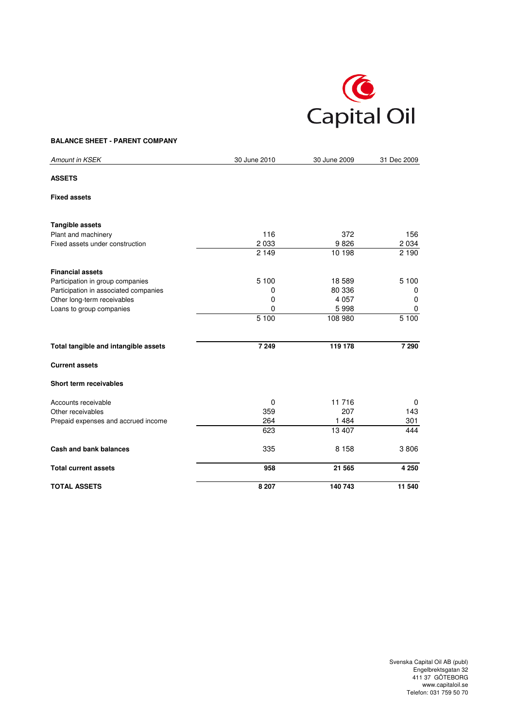

### **BALANCE SHEET - PARENT COMPANY**

| Amount in KSEK                        | 30 June 2010 | 30 June 2009 | 31 Dec 2009 |
|---------------------------------------|--------------|--------------|-------------|
| <b>ASSETS</b>                         |              |              |             |
| <b>Fixed assets</b>                   |              |              |             |
| <b>Tangible assets</b>                |              |              |             |
| Plant and machinery                   | 116          | 372          | 156         |
| Fixed assets under construction       | 2 0 3 3      | 9826         | 2 0 3 4     |
|                                       | 2 1 4 9      | 10 198       | 2 1 9 0     |
| <b>Financial assets</b>               |              |              |             |
| Participation in group companies      | 5 100        | 18 589       | 5 100       |
| Participation in associated companies | 0            | 80 336       | 0           |
| Other long-term receivables           | 0            | 4 0 5 7      | 0           |
| Loans to group companies              | 0            | 5998         | 0           |
|                                       | 5 100        | 108 980      | 5 100       |
| Total tangible and intangible assets  | 7 2 4 9      | 119 178      | 7 2 9 0     |
| <b>Current assets</b>                 |              |              |             |
| Short term receivables                |              |              |             |
| Accounts receivable                   | $\Omega$     | 11 716       | 0           |
| Other receivables                     | 359          | 207          | 143         |
| Prepaid expenses and accrued income   | 264          | 1 4 8 4      | 301         |
|                                       | 623          | 13 407       | 444         |
| Cash and bank balances                | 335          | 8 1 5 8      | 3806        |
| <b>Total current assets</b>           | 958          | 21 565       | 4 2 5 0     |
| <b>TOTAL ASSETS</b>                   | 8 2 0 7      | 140 743      | 11 540      |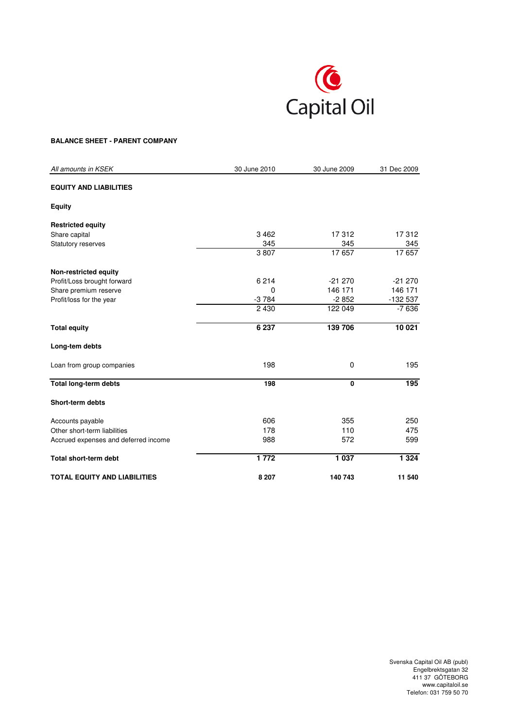

### **BALANCE SHEET - PARENT COMPANY**

| All amounts in KSEK                  | 30 June 2010 | 30 June 2009 | 31 Dec 2009 |
|--------------------------------------|--------------|--------------|-------------|
| <b>EQUITY AND LIABILITIES</b>        |              |              |             |
| <b>Equity</b>                        |              |              |             |
| <b>Restricted equity</b>             |              |              |             |
| Share capital                        | 3462         | 17312        | 17312       |
| <b>Statutory reserves</b>            | 345          | 345          | 345         |
|                                      | 3807         | 17657        | 17657       |
| Non-restricted equity                |              |              |             |
| Profit/Loss brought forward          | 6 2 1 4      | $-21270$     | $-21270$    |
| Share premium reserve                | 0            | 146 171      | 146 171     |
| Profit/loss for the year             | $-3784$      | $-2852$      | $-132537$   |
|                                      | 2 4 3 0      | 122 049      | $-7636$     |
| <b>Total equity</b>                  | 6 237        | 139 706      | 10 021      |
| Long-tem debts                       |              |              |             |
| Loan from group companies            | 198          | 0            | 195         |
| Total long-term debts                | 198          | 0            | 195         |
| <b>Short-term debts</b>              |              |              |             |
| Accounts payable                     | 606          | 355          | 250         |
| Other short-term liabilities         | 178          | 110          | 475         |
| Accrued expenses and deferred income | 988          | 572          | 599         |
| <b>Total short-term debt</b>         | 1772         | 1 0 3 7      | 1 3 2 4     |
| <b>TOTAL EQUITY AND LIABILITIES</b>  | 8 2 0 7      | 140 743      | 11 540      |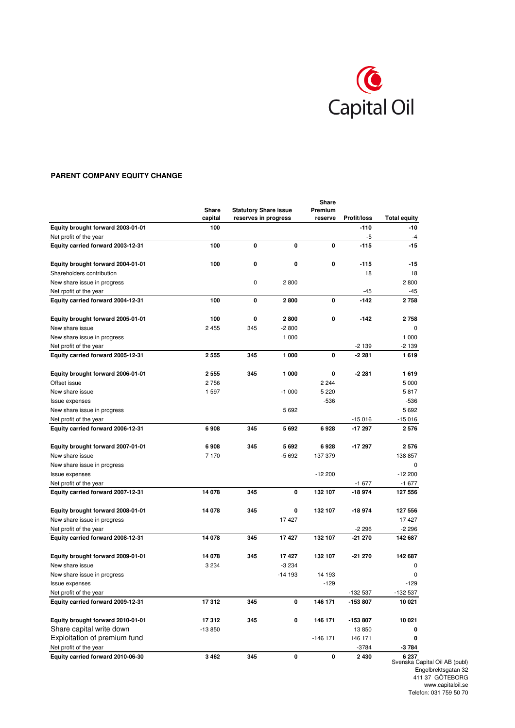

## **PARENT COMPANY EQUITY CHANGE**

|                                   |          |                              |          | Share      |             |                     |
|-----------------------------------|----------|------------------------------|----------|------------|-------------|---------------------|
|                                   | Share    | <b>Statutory Share issue</b> |          | Premium    |             |                     |
|                                   | capital  | reserves in progress         |          | reserve    | Profit/loss | <b>Total equity</b> |
| Equity brought forward 2003-01-01 | 100      |                              |          |            | $-110$      | -10                 |
| Net profit of the year            |          |                              |          |            | -5          | $-4$                |
| Equity carried forward 2003-12-31 | 100      | 0                            | 0        | 0          | -115        | $-15$               |
| Equity brought forward 2004-01-01 | 100      | 0                            | 0        | 0          | -115        | $-15$               |
| Shareholders contribution         |          |                              |          |            | 18          | 18                  |
| New share issue in progress       |          | $\mathbf 0$                  | 2800     |            |             | 2800                |
| Net rpofit of the year            |          |                              |          |            | $-45$       | -45                 |
| Equity carried forward 2004-12-31 | 100      | 0                            | 2800     | 0          | $-142$      | 2758                |
| Equity brought forward 2005-01-01 | 100      | 0                            | 2800     | 0          | -142        | 2758                |
| New share issue                   | 2455     | 345                          | $-2800$  |            |             | $\Omega$            |
| New share issue in progress       |          |                              | 1 000    |            |             | 1 0 0 0             |
| Net profit of the year            |          |                              |          |            | $-2139$     | -2 139              |
| Equity carried forward 2005-12-31 | 2 5 5 5  | 345                          | 1 000    | 0          | $-2281$     | 1619                |
| Equity brought forward 2006-01-01 | 2 5 5 5  | 345                          | 1 000    | 0          | $-2281$     | 1619                |
| Offset issue                      | 2756     |                              |          | 2 2 4 4    |             | 5 0 0 0             |
| New share issue                   | 1 5 9 7  |                              | $-1000$  | 5 2 2 0    |             | 5817                |
| <b>Issue expenses</b>             |          |                              |          | -536       |             | -536                |
| New share issue in progress       |          |                              | 5692     |            |             | 5692                |
| Net profit of the year            |          |                              |          |            | $-15016$    | $-15016$            |
| Equity carried forward 2006-12-31 | 6908     | 345                          | 5692     | 6928       | -17 297     | 2576                |
|                                   |          |                              |          |            |             |                     |
| Equity brought forward 2007-01-01 | 6908     | 345                          | 5692     | 6928       | -17 297     | 2576                |
| New share issue                   | 7 1 7 0  |                              | $-5692$  | 137 379    |             | 138 857             |
| New share issue in progress       |          |                              |          |            |             | 0                   |
| Issue expenses                    |          |                              |          | $-12200$   |             | $-12200$            |
| Net profit of the year            |          |                              |          |            | $-1677$     | $-1677$             |
| Equity carried forward 2007-12-31 | 14 078   | 345                          | 0        | 132 107    | -18 974     | 127 556             |
| Equity brought forward 2008-01-01 | 14 078   | 345                          | 0        | 132 107    | -18 974     | 127 556             |
| New share issue in progress       |          |                              | 17427    |            |             | 17427               |
| Net profit of the year            |          |                              |          |            | $-2296$     | $-2296$             |
| Equity carried forward 2008-12-31 | 14 078   | 345                          | 17427    | 132 107    | $-21270$    | 142 687             |
| Equity brought forward 2009-01-01 | 14 078   | 345                          | 17427    | 132 107    | $-21270$    | 142 687             |
| New share issue                   | 3 2 3 4  |                              | $-3234$  |            |             | 0                   |
| New share issue in progress       |          |                              | $-14193$ | 14 193     |             | 0                   |
| Issue expenses                    |          |                              |          | $-129$     |             | $-129$              |
| Net profit of the year            |          |                              |          |            | -132 537    | $-132537$           |
| Equity carried forward 2009-12-31 | 17312    | 345                          | 0        | 146 171    | -153 807    | 10 021              |
|                                   |          |                              |          |            |             |                     |
| Equity brought forward 2010-01-01 | 17312    | 345                          | 0        | 146 171    | -153 807    | 10 021              |
| Share capital write down          | $-13850$ |                              |          |            | 13 850      | 0                   |
| Exploitation of premium fund      |          |                              |          | $-146$ 171 | 146 171     | 0                   |
| Net profit of the year            |          |                              |          |            | $-3784$     | -3 784              |
| Equity carried forward 2010-06-30 | 3 4 6 2  | 345                          | 0        | 0          | 2 4 3 0     | 6 237               |

Svenska Capital Oil AB (publ) Engelbrektsgatan 32 411 37 GÖTEBORG www.capitaloil.se Telefon: 031 759 50 70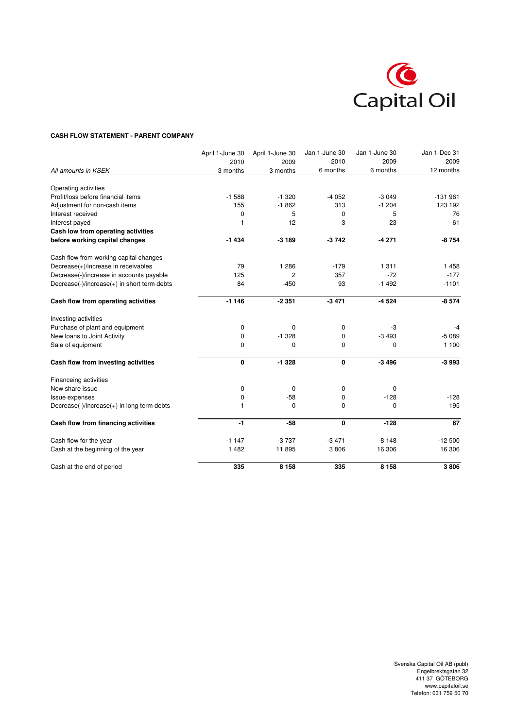

#### **CASH FLOW STATEMENT - PARENT COMPANY**

|                                             | April 1-June 30 | April 1-June 30 | Jan 1-June 30 | Jan 1-June 30 | Jan 1-Dec 31 |
|---------------------------------------------|-----------------|-----------------|---------------|---------------|--------------|
|                                             | 2010            | 2009            | 2010          | 2009          | 2009         |
| All amounts in KSEK                         | 3 months        | 3 months        | 6 months      | 6 months      | 12 months    |
| Operating activities                        |                 |                 |               |               |              |
| Profit/loss before financial items          | $-1588$         | $-1.320$        | $-4052$       | $-3049$       | $-131961$    |
| Adjustment for non-cash items               | 155             | $-1862$         | 313           | $-1204$       | 123 192      |
| Interest received                           | 0               | 5               | 0             | 5             | 76           |
| Interest payed                              | $-1$            | $-12$           | -3            | $-23$         | $-61$        |
| Cash low from operating activities          |                 |                 |               |               |              |
| before working capital changes              | $-1434$         | $-3189$         | $-3742$       | $-4271$       | $-8754$      |
| Cash flow from working capital changes      |                 |                 |               |               |              |
| Decrease(+)/increase in receivables         | 79              | 1 2 8 6         | $-179$        | 1 3 1 1       | 1458         |
| Decrease(-)/increase in accounts payable    | 125             | 2               | 357           | $-72$         | $-177$       |
| Decrease(-)/increase(+) in short term debts | 84              | $-450$          | 93            | $-1492$       | $-1101$      |
| Cash flow from operating activities         | $-1146$         | $-2351$         | $-3471$       | $-4524$       | $-8574$      |
| Investing activities                        |                 |                 |               |               |              |
| Purchase of plant and equipment             | 0               | 0               | 0             | -3            | -4           |
| New loans to Joint Activity                 | 0               | $-1.328$        | 0             | $-3493$       | $-5089$      |
| Sale of equipment                           | 0               | 0               | 0             | 0             | 1 100        |
| Cash flow from investing activities         | 0               | $-1328$         | 0             | $-3496$       | $-3993$      |
| Financeing activities                       |                 |                 |               |               |              |
| New share issue                             | 0               | 0               | 0             | $\Omega$      |              |
| <b>Issue expenses</b>                       | 0               | $-58$           | 0             | $-128$        | $-128$       |
| Decrease(-)/increase(+) in long term debts  | -1              | 0               | 0             | 0             | 195          |
| Cash flow from financing activities         | $-1$            | $-58$           | 0             | $-128$        | 67           |
| Cash flow for the year                      | $-1147$         | $-3737$         | $-3471$       | $-8148$       | $-12500$     |
| Cash at the beginning of the year           | 1 4 8 2         | 11 895          | 3806          | 16 306        | 16 306       |
| Cash at the end of period                   | 335             | 8 1 5 8         | 335           | 8 1 5 8       | 3806         |